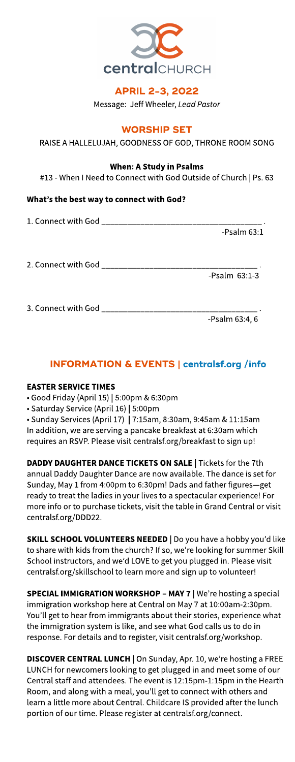

# APRIL 2-3, 2022

Message: Jeff Wheeler, **LeadPastor**

# **WORSHIP SET**

RAISE A HALLELUJAH, GOODNESS OF GOD, THRONE ROOM SONG

### When: AStudy in Psalms

#13 - When I Need to Connect with God Outside of Church | Ps. 63

# What's the best way to connect with God?

| $-$ Psalm 63:1     |
|--------------------|
|                    |
| $-$ Psalm $63:1-3$ |
|                    |
| -Psalm 63:4, 6     |

# INFORMATION& EVENTS| **[centralsf.org/info](http://centralsf.org/info)**

# **EASTER SERVICE TIMES**

- Good Friday (April 15) | 5:00pm &6:30pm

- Saturday Service (April 16) | 5:00pm

- Sunday Services(April 17) | 7:15am, 8:30am, 9:45am &11:15am In addition, we are serving a pancake breakfast at 6:30am which requires an RSVP. Please visit centralsf.org/breakfast to sign up!

DADDY DAUGHTER DANCE TICKETS ON SALE | Tickets for the 7th annual Daddy Daughter Dance are now available. The dance is set for Sunday, May 1 from 4:00pm to 6:30pm! Dads and father figures-get ready to treat the ladies in your lives to a spectacular experience! For more info or to purchase tickets, visit the table in Grand Central or visit centralsf.org/DDD22.

SKILL SCHOOL VOLUNTEERS NEEDED | Do you have a hobby you'd like to share with kids from the church? If so, we're looking for summer Skill School instructors, and we'd LOVE to get you plugged in. Please visit centralsf.org/skillschool to learn more and sign up to volunteer!

SPECIAL IMMIGRATION WORKSHOP - MAY 7 | We're hosting a special immigration workshop here at Central on May 7at 10:00am-2:30pm. You'll get to hear from immigrants about their stories, experience what the immigration system is like, and see what God calls us to do in response. For details and to register, visit centralsf.org/workshop.

DISCOVER CENTRAL LUNCH | On Sunday, Apr. 10, we're hosting a FREE LUNCH for newcomers looking to get plugged in and meet some of our Central staff and attendees. The event is12:15pm-1:15pm in the Hearth Room, and along with a meal, you'll get to connect with others and learn a little more about Central. Childcare IS provided after the lunch portion of our time. Please register at centralsf.org/connect.